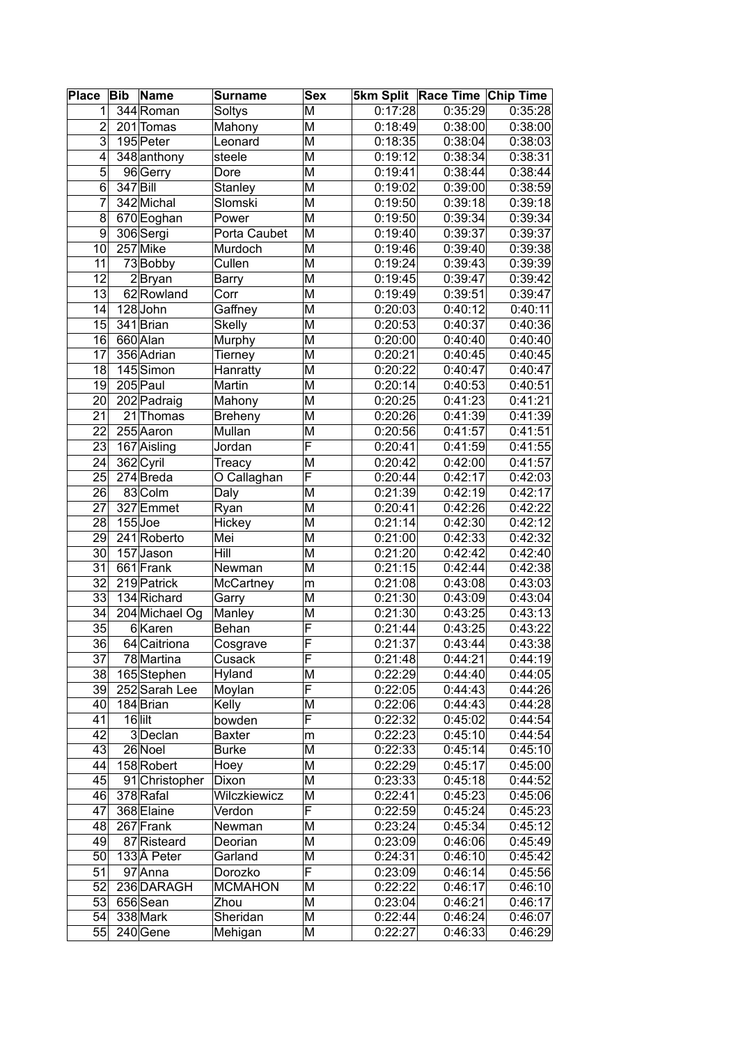| <b>Place</b>    | <b>Bib</b> | <b>Name</b>    | <b>Surname</b> | <b>Sex</b>              |                       | 5km Split Race Time Chip Time |         |
|-----------------|------------|----------------|----------------|-------------------------|-----------------------|-------------------------------|---------|
| 1               |            | 344 Roman      | Soltys         | M                       | 0:17:28               | 0:35:29                       | 0:35:28 |
| $\overline{2}$  |            | 201 Tomas      | Mahony         | M                       | 0:18:49               | 0:38:00                       | 0:38:00 |
| $\overline{3}$  |            | 195 Peter      | Leonard        | M                       | 0:18:35               | 0:38:04                       | 0:38:03 |
| 4               |            | 348 anthony    | steele         | M                       | 0:19:12               | 0:38:34                       | 0:38:31 |
| 5               |            | 96 Gerry       | Dore           | M                       | 0:19:41               | 0:38:44                       | 0:38:44 |
| $\overline{6}$  | 347 Bill   |                | Stanley        | M                       | 0:19:02               | 0:39:00                       | 0:38:59 |
| 7               |            | 342 Michal     | Slomski        | M                       | 0:19:50               | 0:39:18                       | 0:39:18 |
| 8               |            | 670 Eoghan     | Power          | M                       | 0:19:50               | 0:39:34                       | 0:39:34 |
| 9               |            | 306 Sergi      | Porta Caubet   | M                       | 0:19:40               | 0:39:37                       | 0:39:37 |
| 10              |            | 257 Mike       | Murdoch        | M                       | 0:19:46               | 0:39:40                       | 0:39:38 |
| 11              |            | 73 Bobby       | Cullen         | M                       | 0:19:24               | 0:39:43                       | 0:39:39 |
| $\overline{12}$ |            | $2$ Bryan      | Barry          | M                       | 0:19:45               | 0:39:47                       | 0:39:42 |
| 13              |            | 62 Rowland     | Corr           | M                       | 0:19:49               | 0:39:51                       | 0:39:47 |
| 14              |            | 128John        | Gaffney        | M                       | 0:20:03               | 0:40:12                       | 0:40:11 |
| 15              |            | 341 Brian      | <b>Skelly</b>  | M                       | 0:20:53               | 0:40:37                       | 0:40:36 |
| 16              |            | 660 Alan       | Murphy         | M                       | 0:20:00               | 0:40:40                       | 0:40:40 |
| $\overline{17}$ |            | 356 Adrian     | Tierney        | M                       | 0:20:21               | 0:40:45                       | 0:40:45 |
| 18              |            | 145 Simon      | Hanratty       | M                       | 0:20:22               | 0:40:47                       | 0:40:47 |
| 19              |            | 205 Paul       | <b>Martin</b>  | M                       | 0:20:14               | 0:40:53                       | 0:40:51 |
| 20              |            | 202 Padraig    | Mahony         | M                       | 0:20:25               | 0:41:23                       | 0:41:21 |
| 21              |            | 21 Thomas      | <b>Breheny</b> | M                       | 0:20:26               | 0:41:39                       | 0:41:39 |
| 22              |            | 255 Aaron      | Mullan         | M                       | 0:20:56               | 0:41:57                       | 0:41:51 |
| 23              |            | 167 Aisling    | Jordan         | $\overline{\mathsf{F}}$ | 0:20:41               | 0:41:59                       | 0:41:55 |
| 24              |            | 362 Cyril      | Treacy         | M                       | 0:20:42               | 0:42:00                       | 0:41:57 |
| 25              |            | $274$ Breda    | O Callaghan    | $\overline{\mathsf{F}}$ | 0:20:44               | 0:42:17                       | 0:42:03 |
| 26              |            | 83 Colm        | Daly           | M                       | 0:21:39               | 0:42:19                       | 0:42:17 |
| 27              |            | 327 Emmet      | Ryan           | M                       | 0:20:41               | 0:42:26                       | 0:42:22 |
| 28              |            | $155$ Joe      | Hickey         | M                       | 0:21:14               | 0:42:30                       | 0:42:12 |
| 29              |            | 241 Roberto    | Mei            | M                       | 0:21:00               | 0:42:33                       | 0:42:32 |
| 30              |            | $157$ Jason    | Hill           | M                       | 0:21:20               | 0:42:42                       | 0:42:40 |
| 31              |            | 661 Frank      | Newman         | M                       | 0:21:15               | 0:42:44                       | 0:42:38 |
| 32              |            | 219 Patrick    | McCartney      | m                       | $\overline{0}$ :21:08 | 0:43:08                       | 0:43:03 |
| 33              |            | 134 Richard    | Garry          | M                       | 0:21:30               | 0:43:09                       | 0:43:04 |
| 34              |            | 204 Michael Og | Manley         | M                       | 0:21:30               | 0:43:25                       | 0:43:13 |
| 35              |            | 6Karen         | Behan          | F                       | 0:21:44               | 0:43:25                       | 0:43:22 |
| 36              |            | 64 Caitriona   | Cosgrave       | F                       | 0:21:37               | 0:43:44                       | 0:43:38 |
| 37              |            | 78 Martina     | Cusack         | F                       | 0:21:48               | 0:44:21                       | 0:44:19 |
| 38              |            | 165 Stephen    | Hyland         | M                       | 0:22:29               | 0:44:40                       | 0:44:05 |
| 39              |            | 252 Sarah Lee  | Moylan         | F                       | 0:22:05               | 0:44:43                       | 0:44:26 |
| 40              |            | 184 Brian      | Kelly          | M                       | 0:22:06               | 0:44:43                       | 0:44:28 |
| 41              |            | $16$  lilt     | bowden         | F                       | 0:22:32               | 0:45:02                       | 0:44:54 |
| 42              |            | 3Declan        | <b>Baxter</b>  | m                       | 0:22:23               | 0:45:10                       | 0:44:54 |
| 43              |            | 26 Noel        | Burke          | M                       | 0:22:33               | 0:45:14                       | 0:45:10 |
| 44              |            | 158 Robert     | Hoey           | M                       | 0:22:29               | 0:45:17                       | 0:45:00 |
| 45              |            | 91 Christopher | Dixon          | M                       | 0:23:33               | 0:45:18                       | 0:44:52 |
| 46              |            | 378 Rafal      | Wilczkiewicz   | M                       | 0:22:41               | 0:45:23                       | 0:45:06 |
| 47              |            | 368 Elaine     | Verdon         | $\overline{\mathsf{F}}$ | 0:22:59               | 0:45:24                       | 0:45:23 |
| 48              |            | 267 Frank      | Newman         | $\overline{\mathsf{M}}$ | 0:23:24               | 0:45:34                       | 0:45:12 |
| 49              |            | 87 Risteard    | Deorian        | M                       | 0:23:09               | 0:46:06                       | 0:45:49 |
| 50              |            | 133 Â Peter    | Garland        | M                       | 0:24:31               | 0:46:10                       | 0:45:42 |
| 51              |            | 97 Anna        | Dorozko        | $\overline{\mathsf{F}}$ | 0:23:09               | 0:46:14                       | 0:45:56 |
| 52              |            | 236 DARAGH     | <b>MCMAHON</b> | M                       | 0:22:22               | 0:46:17                       | 0:46:10 |
| 53              |            | 656 Sean       | Zhou           | M                       | 0:23:04               | 0:46:21                       | 0:46:17 |
| 54              |            | 338 Mark       | Sheridan       | M                       | 0:22:44               | 0:46:24                       | 0:46:07 |
| 55              |            | $240$ Gene     | Mehigan        | M                       | 0:22:27               | 0:46:33                       | 0:46:29 |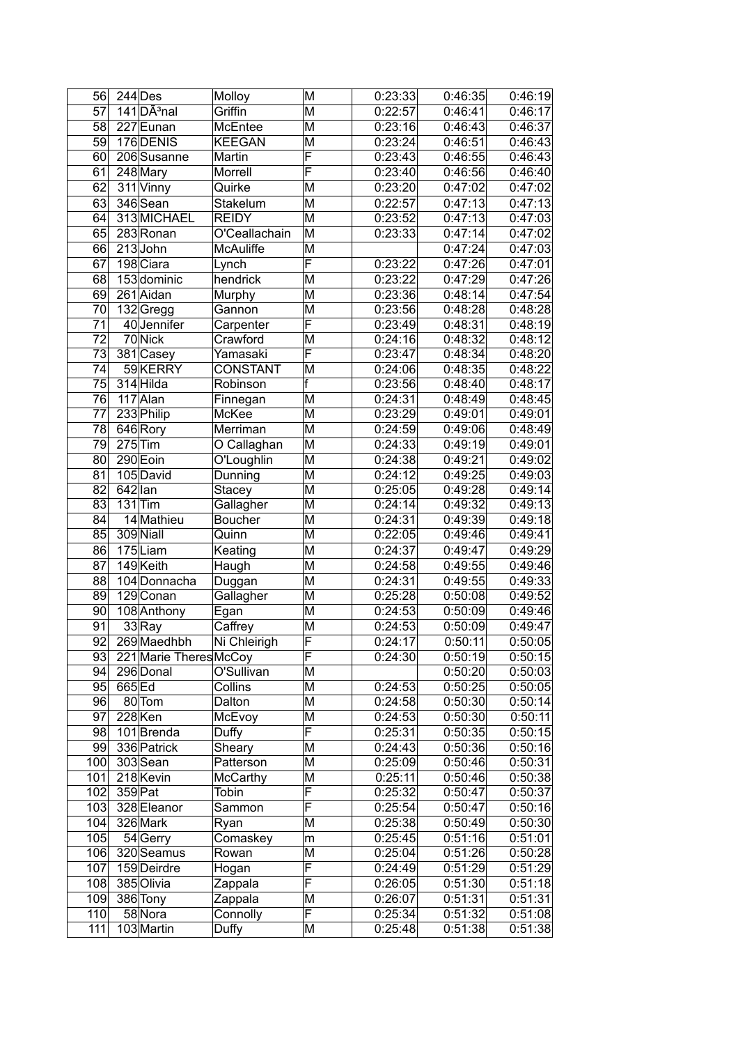| 56              |           | $244$ Des                           | Molloy           | M                       | 0:23:33 | 0:46:35 | 0:46:19 |
|-----------------|-----------|-------------------------------------|------------------|-------------------------|---------|---------|---------|
| 57              |           | $141\overline{DA}$ <sup>3</sup> nal | Griffin          | M                       | 0:22:57 | 0:46:41 | 0:46:17 |
| 58              |           | 227 Eunan                           | McEntee          | M                       | 0:23:16 | 0:46:43 | 0:46:37 |
| 59              |           | 176 DENIS                           | <b>KEEGAN</b>    | M                       | 0:23:24 | 0:46:51 | 0:46:43 |
| 60 <sub>1</sub> |           | 206 Susanne                         | Martin           | F                       | 0:23:43 | 0:46:55 | 0:46:43 |
| 61              |           | 248 Mary                            | Morrell          | F                       | 0:23:40 | 0:46:56 | 0:46:40 |
| 62              |           | $311$ Vinny                         | Quirke           | M                       | 0:23:20 | 0:47:02 | 0:47:02 |
| 63              |           | 346 Sean                            | Stakelum         | M                       | 0:22:57 | 0:47:13 | 0:47:13 |
| 64              |           | 313 MICHAEL                         | <b>REIDY</b>     | M                       | 0:23:52 | 0:47:13 | 0:47:03 |
| 65              |           | 283 Ronan                           | O'Ceallachain    | M                       | 0:23:33 | 0:47:14 | 0:47:02 |
| 66              |           | $213$ John                          | <b>McAuliffe</b> | M                       |         | 0:47:24 | 0:47:03 |
| 67              |           | 198 Ciara                           | Lynch            | F                       | 0:23:22 | 0:47:26 | 0:47:01 |
| 68              |           | 153 dominic                         | hendrick         | M                       | 0:23:22 | 0:47:29 | 0:47:26 |
| 69              |           | 261 Aidan                           | Murphy           | M                       | 0:23:36 | 0:48:14 | 0:47:54 |
| 70              |           | 132Gregg                            | Gannon           | M                       | 0:23:56 | 0:48:28 | 0:48:28 |
| 71              |           | 40 Jennifer                         | Carpenter        | F                       | 0:23:49 | 0:48:31 | 0:48:19 |
| 72              |           | 70 Nick                             | Crawford         | M                       | 0:24:16 | 0:48:32 | 0:48:12 |
| $\overline{73}$ |           | 381 Casey                           | Yamasaki         | F                       | 0:23:47 | 0:48:34 | 0:48:20 |
| 74              |           | 59 KERRY                            | <b>CONSTANT</b>  | M                       | 0:24:06 | 0:48:35 | 0:48:22 |
| $\overline{75}$ |           | 314 Hilda                           | Robinson         | F                       | 0:23:56 | 0:48:40 | 0:48:17 |
| 76              |           | 117 Alan                            | Finnegan         | M                       | 0:24:31 | 0:48:49 | 0:48:45 |
| 77              |           | 233 Philip                          | McKee            | M                       | 0:23:29 | 0:49:01 | 0:49:01 |
| 78              |           | 646 Rory                            | Merriman         | M                       | 0:24:59 | 0:49:06 | 0:48:49 |
| 79              |           | $275$ Tim                           | O Callaghan      | M                       | 0:24:33 | 0:49:19 | 0:49:01 |
| 80              |           | 290 Eoin                            | O'Loughlin       | M                       | 0:24:38 | 0:49:21 | 0:49:02 |
| 81              |           | 105 David                           | Dunning          | M                       | 0:24:12 | 0:49:25 | 0:49:03 |
| $\overline{82}$ | $642$ lan |                                     | Stacey           | M                       | 0:25:05 | 0:49:28 | 0:49:14 |
| $\overline{83}$ |           | $131$ Tim                           | Gallagher        | M                       | 0:24:14 | 0:49:32 | 0:49:13 |
| 84              |           | 14 Mathieu                          | <b>Boucher</b>   | M                       | 0:24:31 | 0:49:39 | 0:49:18 |
| 85              |           | 309 Niall                           | Quinn            | M                       | 0:22:05 | 0:49:46 | 0:49:41 |
| 86              |           | 175Liam                             | Keating          | M                       | 0:24:37 | 0:49:47 | 0:49:29 |
| 87              |           | 149 Keith                           | Haugh            | M                       | 0:24:58 | 0:49:55 | 0:49:46 |
| 88              |           | 104 Donnacha                        | Duggan           | M                       | 0:24:31 | 0:49:55 | 0:49:33 |
| 89              |           | $129$ Conan                         | Gallagher        | M                       | 0:25:28 | 0:50:08 | 0:49:52 |
| 90 <sub>0</sub> |           | 108 Anthony                         | Egan             | M                       | 0:24:53 | 0:50:09 | 0:49:46 |
| 91              |           | 33Ray                               | Caffrey          | M                       | 0:24:53 | 0:50:09 | 0:49:47 |
| 92              |           | 269 Maedhbh                         | Ni Chleirigh     | $\overline{\mathsf{F}}$ | 0:24:17 | 0:50:11 | 0:50:05 |
| 93              |           | 221 Marie Theres McCoy              |                  | F                       | 0:24:30 | 0:50:19 | 0:50:15 |
| 94              |           | 296 Donal                           | O'Sullivan       | M                       |         | 0:50:20 | 0:50:03 |
| 95              | 665 Ed    |                                     | Collins          | M                       | 0:24:53 | 0:50:25 | 0:50:05 |
| 96              |           | 80 Tom                              | Dalton           | M                       | 0:24:58 | 0:50:30 | 0:50:14 |
| 97              |           | $228$ <sup>Ken</sup>                | McEvoy           | M                       | 0:24:53 | 0:50:30 | 0:50:11 |
| 98              |           | 101 Brenda                          | Duffy            | F                       | 0:25:31 | 0:50:35 | 0:50:15 |
| 99              |           | 336 Patrick                         | Sheary           | M                       | 0:24:43 | 0:50:36 | 0:50:16 |
| 100             |           | 303 Sean                            | Patterson        | M                       | 0:25:09 | 0:50:46 | 0:50:31 |
| 101             |           | 218 Kevin                           | McCarthy         | M                       | 0:25:11 | 0:50:46 | 0:50:38 |
| 102             | 359 Pat   |                                     | Tobin            | F                       | 0:25:32 | 0:50:47 | 0:50:37 |
| 103             |           | 328 Eleanor                         | Sammon           | F                       | 0:25:54 | 0:50:47 | 0:50:16 |
| 104             |           | 326 Mark                            | Ryan             | M                       | 0:25:38 | 0:50:49 | 0:50:30 |
| 105             |           | $54$ Gerry                          | Comaskey         | m                       | 0:25:45 | 0:51:16 | 0:51:01 |
| 106             |           | 320 Seamus                          | Rowan            | M                       | 0:25:04 | 0:51:26 | 0:50:28 |
| 107             |           | 159 Deirdre                         | Hogan            | F                       | 0:24:49 | 0:51:29 | 0:51:29 |
| 108             |           | 385 Olivia                          | Zappala          | F                       | 0:26:05 | 0:51:30 | 0:51:18 |
| 109             |           | 386 Tony                            | Zappala          | M                       | 0:26:07 | 0:51:31 | 0:51:31 |
| 110             |           | 58 Nora                             | Connolly         | F                       | 0:25:34 | 0:51:32 | 0:51:08 |
| 111             |           | 103 Martin                          | Duffy            | M                       | 0:25:48 | 0:51:38 | 0:51:38 |
|                 |           |                                     |                  |                         |         |         |         |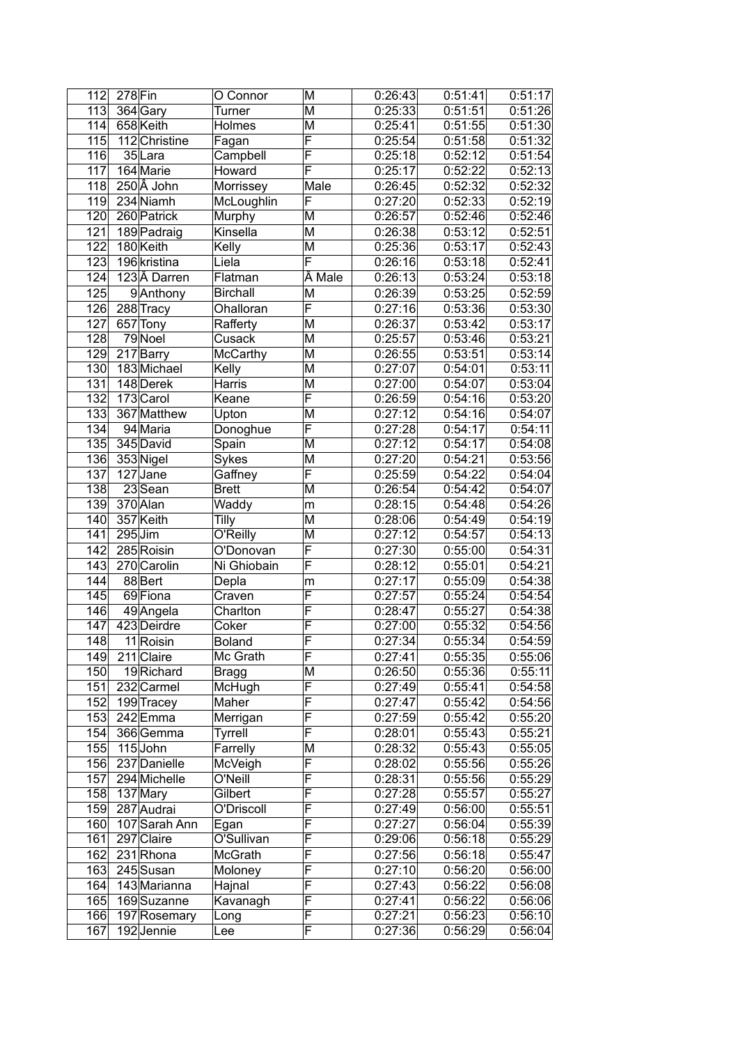| 112              | $278$ Fin            | O Connor        | M                       | 0:26:43 | 0:51:41 | 0:51:17 |
|------------------|----------------------|-----------------|-------------------------|---------|---------|---------|
| 113              | 364 Gary             | Turner          | M                       | 0:25:33 | 0:51:51 | 0:51:26 |
| 114              | 658 Keith            | Holmes          | M                       | 0:25:41 | 0:51:55 | 0:51:30 |
| 115              | 112 Christine        | Fagan           | F                       | 0:25:54 | 0:51:58 | 0:51:32 |
| 116              | 35 Lara              | Campbell        | F                       | 0:25:18 | 0:52:12 | 0:51:54 |
| 117              | 164 Marie            | Howard          | F                       | 0:25:17 | 0:52:22 | 0:52:13 |
| 118              | 250 Å John           | Morrissey       | Male                    | 0:26:45 | 0:52:32 | 0:52:32 |
| 119              | $234$ Niamh          | McLoughlin      | F                       | 0:27:20 | 0:52:33 | 0:52:19 |
| 120              | 260 Patrick          | Murphy          | M                       | 0:26:57 | 0:52:46 | 0:52:46 |
| 121              | 189 Padraig          | Kinsella        | M                       | 0:26:38 | 0:53:12 | 0:52:51 |
| 122              | 180 Keith            | Kelly           | M                       | 0:25:36 | 0:53:17 | 0:52:43 |
| 123              | 196 kristina         | Liela           | F                       | 0:26:16 | 0:53:18 | 0:52:41 |
| 124              | 123Å Darren          | Flatman         | Male                    | 0:26:13 | 0:53:24 | 0:53:18 |
|                  | 9Anthony             | <b>Birchall</b> | M                       | 0:26:39 | 0:53:25 | 0:52:59 |
| 125              |                      |                 | F                       |         |         |         |
| 126              | 288 Tracy            | Ohalloran       |                         | 0:27:16 | 0:53:36 | 0:53:30 |
| 127              | 657 Tony             | Rafferty        | M                       | 0:26:37 | 0:53:42 | 0:53:17 |
| 128              | $\overline{79}$ Noel | Cusack          | M                       | 0:25:57 | 0:53:46 | 0:53:21 |
| 129              | 217 Barry            | <b>McCarthy</b> | M                       | 0:26:55 | 0:53:51 | 0:53:14 |
| 130              | 183 Michael          | Kelly           | M                       | 0:27:07 | 0:54:01 | 0:53:11 |
| 131              | 148 Derek            | <b>Harris</b>   | M                       | 0:27:00 | 0:54:07 | 0:53:04 |
| 132              | 173 Carol            | Keane           | F                       | 0:26:59 | 0:54:16 | 0:53:20 |
| 133              | 367 Matthew          | Upton           | M                       | 0:27:12 | 0:54:16 | 0:54:07 |
| 134              | 94 Maria             | Donoghue        | F                       | 0:27:28 | 0:54:17 | 0:54:11 |
| $\overline{135}$ | 345 David            | Spain           | M                       | 0:27:12 | 0:54:17 | 0:54:08 |
| 136              | 353 Nigel            | Sykes           | M                       | 0:27:20 | 0:54:21 | 0:53:56 |
| 137              | $127$ Jane           | Gaffney         | F                       | 0:25:59 | 0:54:22 | 0:54:04 |
| 138              | $23$ Sean            | <b>Brett</b>    | M                       | 0:26:54 | 0:54:42 | 0:54:07 |
| 139              | 370 Alan             | Waddy           | m                       | 0:28:15 | 0:54:48 | 0:54:26 |
| 140              | 357 Keith            | Tilly           | M                       | 0:28:06 | 0:54:49 | 0:54:19 |
| 141              | $295$ Jim            | O'Reilly        | M                       | 0:27:12 | 0:54:57 | 0:54:13 |
| 142              | 285 Roisin           | O'Donovan       | F                       | 0:27:30 | 0:55:00 | 0:54:31 |
| 143              | 270 Carolin          | Ni Ghiobain     | $\overline{\mathsf{F}}$ | 0:28:12 | 0:55:01 | 0:54:21 |
| 144              | 88 Bert              | Depla           | m                       | 0:27:17 | 0:55:09 | 0:54:38 |
| 145              | 69 Fiona             | Craven          | F                       | 0:27:57 | 0:55:24 | 0:54:54 |
| 146              | 49 Angela            | Charlton        | F                       | 0:28:47 | 0:55:27 | 0:54:38 |
| 147              | 423 Deirdre          | Coker           | F                       | 0:27:00 | 0:55:32 | 0:54:56 |
| 148              | 11 Roisin            | Boland          | $\overline{\mathsf{F}}$ | 0:27:34 | 0:55:34 | 0:54:59 |
| 149              | 211 Claire           | Mc Grath        | F                       | 0:27:41 | 0:55:35 | 0:55:06 |
| 150              | 19 Richard           | Bragg           | M                       | 0:26:50 | 0:55:36 | 0:55:11 |
| 151              | 232 Carmel           | McHugh          | F                       | 0:27:49 | 0:55:41 | 0:54:58 |
| 152              | 199 Tracey           | Maher           | F                       | 0:27:47 | 0:55:42 | 0:54:56 |
| 153              | 242 Emma             | Merrigan        | F                       | 0:27:59 | 0:55:42 | 0:55:20 |
| 154              | 366 Gemma            | <b>Tyrrell</b>  | F                       | 0:28:01 | 0:55:43 | 0:55:21 |
| 155              | $115$ John           | Farrelly        | M                       | 0:28:32 | 0:55:43 | 0:55:05 |
| 156              | 237 Danielle         | McVeigh         | F                       | 0:28:02 | 0:55:56 | 0:55:26 |
|                  | 294 Michelle         |                 | F                       |         |         |         |
| 157              |                      | O'Neill         | F                       | 0:28:31 | 0:55:56 | 0:55:29 |
| 158              | 137 Mary             | Gilbert         |                         | 0:27:28 | 0:55:57 | 0:55:27 |
| 159              | 287 Audrai           | O'Driscoll      | F                       | 0:27:49 | 0:56:00 | 0:55:51 |
| 160              | 107 Sarah Ann        | Egan            | F                       | 0:27:27 | 0:56:04 | 0:55:39 |
| 161              | 297 Claire           | O'Sullivan      | F                       | 0:29:06 | 0:56:18 | 0:55:29 |
| 162              | 231 Rhona            | McGrath         | F                       | 0:27:56 | 0:56:18 | 0:55:47 |
| 163              | 245 Susan            | Moloney         | F                       | 0:27:10 | 0:56:20 | 0:56:00 |
| 164              | 143 Marianna         | Hajnal          | F                       | 0:27:43 | 0:56:22 | 0:56:08 |
| 165              | 169 Suzanne          | Kavanagh        | F                       | 0:27:41 | 0:56:22 | 0:56:06 |
| 166              | 197 Rosemary         | Long            | F                       | 0:27:21 | 0:56:23 | 0:56:10 |
| 167              | 192 Jennie           | Lee             | F                       | 0:27:36 | 0:56:29 | 0:56:04 |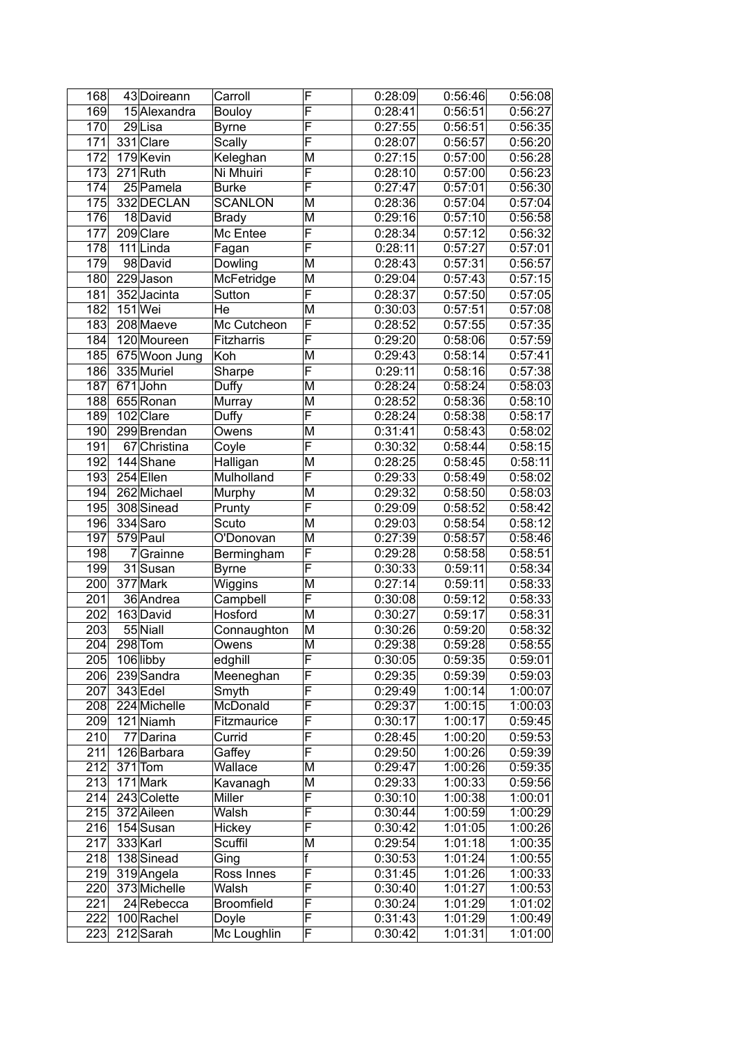| 168              | 43 Doireann   | Carroll        | F                       | 0:28:09 | 0:56:46 | 0:56:08 |
|------------------|---------------|----------------|-------------------------|---------|---------|---------|
| 169              | 15 Alexandra  | <b>Bouloy</b>  | $\overline{\mathsf{F}}$ | 0:28:41 | 0:56:51 | 0:56:27 |
| 170              | 29Lisa        | <b>Byrne</b>   | F                       | 0:27:55 | 0:56:51 | 0:56:35 |
| 171              | 331 Clare     | Scally         | F                       | 0:28:07 | 0:56:57 | 0:56:20 |
| 172              | 179 Kevin     | Keleghan       | M                       | 0:27:15 | 0:57:00 | 0:56:28 |
| 173              | $271$ Ruth    | Ni Mhuiri      | F                       | 0:28:10 | 0:57:00 | 0:56:23 |
| 174              | $25$ Pamela   | <b>Burke</b>   | F                       | 0:27:47 | 0:57:01 | 0:56:30 |
| 175              | 332 DECLAN    | <b>SCANLON</b> | M                       | 0:28:36 | 0:57:04 | 0:57:04 |
| 176              | 18David       | <b>Brady</b>   | M                       | 0:29:16 | 0:57:10 | 0:56:58 |
| 177              | 209 Clare     | Mc Entee       | F                       | 0:28:34 | 0:57:12 | 0:56:32 |
| 178              | 111 Linda     | Fagan          | F                       | 0:28:11 | 0:57:27 | 0:57:01 |
| 179              | 98 David      | Dowling        | M                       | 0:28:43 | 0:57:31 | 0:56:57 |
| 180              | $229$ Jason   | McFetridge     | M                       | 0:29:04 | 0:57:43 | 0:57:15 |
| 181              | 352 Jacinta   | Sutton         | F                       | 0:28:37 | 0:57:50 | 0:57:05 |
| 182              | $151$ Wei     | He             | M                       | 0:30:03 | 0:57:51 | 0:57:08 |
| 183              | 208 Maeve     | Mc Cutcheon    | F                       | 0:28:52 | 0:57:55 | 0:57:35 |
| 184              | 120 Moureen   | Fitzharris     | F                       | 0:29:20 | 0:58:06 | 0:57:59 |
| 185              | 675 Woon Jung | Koh            | M                       | 0:29:43 | 0:58:14 | 0:57:41 |
| 186              | 335 Muriel    | Sharpe         | F                       | 0:29:11 | 0:58:16 | 0:57:38 |
| 187              | 671John       | Duffy          | M                       | 0:28:24 | 0:58:24 | 0:58:03 |
| 188              | 655 Ronan     | Murray         | M                       | 0:28:52 | 0:58:36 | 0:58:10 |
| 189              | 102 Clare     | Duffy          | $\overline{\mathsf{F}}$ | 0:28:24 | 0:58:38 | 0:58:17 |
| 190              | 299 Brendan   | Owens          | M                       | 0:31:41 | 0:58:43 | 0:58:02 |
| 191              | 67 Christina  | Coyle          | $\overline{\mathsf{F}}$ | 0:30:32 | 0:58:44 | 0:58:15 |
| 192              | 144 Shane     | Halligan       | M                       | 0:28:25 | 0:58:45 | 0:58:11 |
| 193              | 254 Ellen     | Mulholland     | F                       | 0:29:33 | 0:58:49 | 0:58:02 |
| 194              | 262 Michael   | Murphy         | M                       | 0:29:32 | 0:58:50 | 0:58:03 |
| 195              | 308 Sinead    | Prunty         | F                       | 0:29:09 | 0:58:52 | 0:58:42 |
| 196              | 334 Saro      | Scuto          | M                       | 0:29:03 | 0:58:54 | 0:58:12 |
| 197              | 579 Paul      | O'Donovan      | M                       | 0:27:39 | 0:58:57 | 0:58:46 |
| 198              | 7Grainne      | Bermingham     | F                       | 0:29:28 | 0:58:58 | 0:58:51 |
| 199              | 31 Susan      | <b>Byrne</b>   | F                       | 0:30:33 | 0:59:11 | 0:58:34 |
| 200              | 377 Mark      | Wiggins        | M                       | 0:27:14 | 0:59:11 | 0:58:33 |
| 201              | 36 Andrea     | Campbell       | $\overline{\mathsf{F}}$ | 0:30:08 | 0:59:12 | 0:58:33 |
| 202              | 163 David     | Hosford        | M                       | 0:30:27 | 0:59:17 | 0:58:31 |
| 203              | 55 Niall      | Connaughton    | M                       | 0:30:26 | 0:59:20 | 0:58:32 |
| $\overline{204}$ | $298$ Tom     | Owens          | $\overline{\mathsf{M}}$ | 0:29:38 | 0.59:28 | 0:58:55 |
| 205              | 106 libby     | edghill        | F                       | 0:30:05 | 0:59:35 | 0:59:01 |
| 206              | 239 Sandra    | Meeneghan      | F                       | 0:29:35 | 0:59:39 | 0:59:03 |
| 207              | $343$ Edel    | Smyth          | F                       | 0:29:49 | 1:00:14 | 1:00:07 |
| 208              | 224 Michelle  | McDonald       | F                       | 0:29:37 | 1:00:15 | 1:00:03 |
| 209              | 121 Niamh     | Fitzmaurice    | F                       | 0:30:17 | 1:00:17 | 0:59:45 |
| 210              | 77 Darina     | Currid         | F                       | 0:28:45 | 1:00:20 | 0:59:53 |
| 211              | 126 Barbara   | Gaffey         | F                       | 0:29:50 | 1:00:26 | 0:59:39 |
| 212              | $371$ Tom     | Wallace        | M                       | 0:29:47 | 1:00:26 | 0:59:35 |
| 213              | $171$ Mark    | Kavanagh       | M                       | 0:29:33 | 1:00:33 | 0:59:56 |
| 214              | 243 Colette   | <b>Miller</b>  | F                       | 0:30:10 | 1:00:38 | 1:00:01 |
| 215              | 372 Aileen    | Walsh          | F                       | 0:30:44 | 1:00:59 | 1:00:29 |
| 216              | 154 Susan     | Hickey         | F                       | 0:30:42 | 1:01:05 | 1:00:26 |
| 217              | 333 Karl      | Scuffil        | M                       | 0:29:54 | 1:01:18 | 1:00:35 |
| 218              | 138 Sinead    | Ging           | f                       | 0:30:53 | 1:01:24 | 1:00:55 |
| 219              | 319 Angela    | Ross Innes     | F                       | 0:31:45 | 1:01:26 | 1:00:33 |
| 220              | 373 Michelle  | Walsh          | F                       | 0:30:40 | 1:01:27 | 1:00:53 |
| 221              | 24 Rebecca    | Broomfield     | F                       | 0:30:24 | 1:01:29 | 1:01:02 |
| 222              | 100 Rachel    | Doyle          | F                       | 0:31:43 | 1:01:29 | 1:00:49 |
| 223              | 212 Sarah     | Mc Loughlin    | F                       | 0:30:42 | 1:01:31 | 1:01:00 |
|                  |               |                |                         |         |         |         |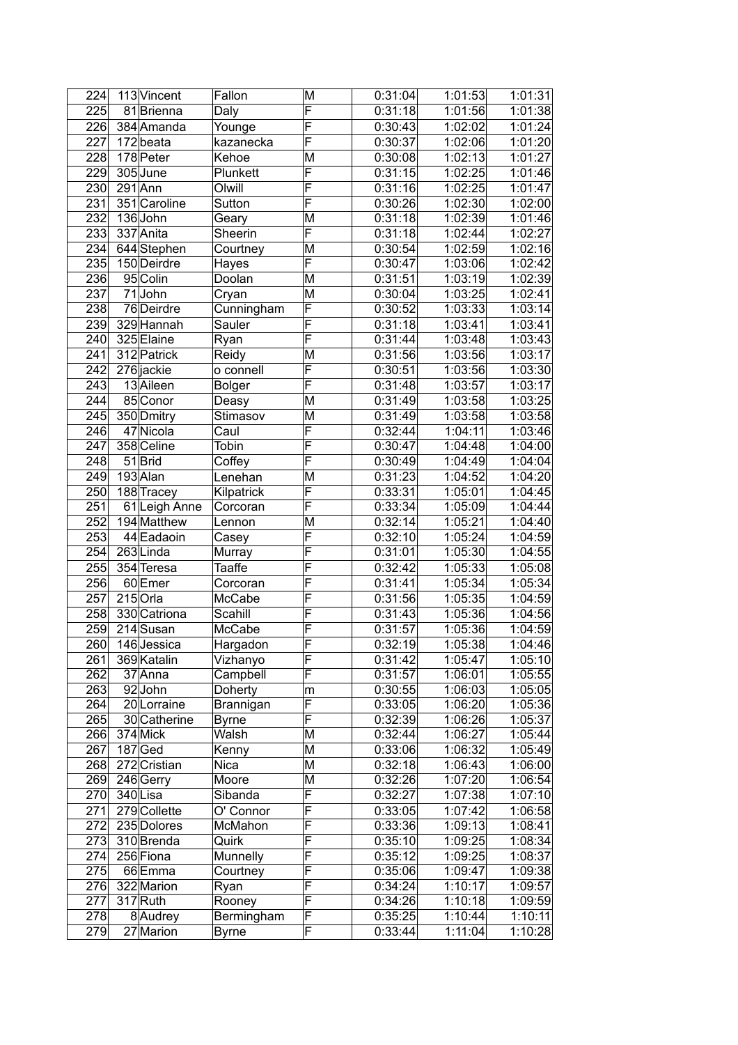| 224 | 113 Vincent             | Fallon        | $\overline{\mathsf{M}}$ | 0:31:04 | 1:01:53 | 1:01:31 |
|-----|-------------------------|---------------|-------------------------|---------|---------|---------|
| 225 | 81Brienna               | Daly          | F                       | 0:31:18 | 1:01:56 | 1:01:38 |
| 226 | 384 Amanda              | Younge        | F                       | 0:30:43 | 1:02:02 | 1:01:24 |
| 227 | 172beata                | kazanecka     | F                       | 0:30:37 | 1:02:06 | 1:01:20 |
| 228 | 178 Peter               | Kehoe         | M                       | 0:30:08 | 1:02:13 | 1:01:27 |
| 229 | 305 June                | Plunkett      | F                       | 0:31:15 | 1:02:25 | 1:01:46 |
| 230 | $291$ Ann               | Olwill        | F                       | 0:31:16 | 1:02:25 | 1:01:47 |
| 231 | 351 Caroline            | Sutton        | F                       | 0:30:26 | 1:02:30 | 1:02:00 |
| 232 | 136John                 | Geary         | M                       | 0:31:18 | 1:02:39 | 1:01:46 |
| 233 | 337 Anita               | Sheerin       | F                       | 0:31:18 | 1:02:44 | 1:02:27 |
| 234 | 644 Stephen             | Courtney      | M                       | 0:30:54 | 1:02:59 | 1:02:16 |
| 235 | 150 Deirdre             |               | F                       | 0:30:47 | 1:03:06 | 1:02:42 |
|     |                         | Hayes         | M                       | 0:31:51 |         |         |
| 236 | 95 Colin                | Doolan        |                         |         | 1:03:19 | 1:02:39 |
| 237 | 71John                  | Cryan         | M                       | 0:30:04 | 1:03:25 | 1:02:41 |
| 238 | $\overline{76}$ Deirdre | Cunningham    | F                       | 0:30:52 | 1:03:33 | 1:03:14 |
| 239 | 329 Hannah              | Sauler        | F                       | 0:31:18 | 1:03:41 | 1:03:41 |
| 240 | 325 Elaine              | Ryan          | F                       | 0:31:44 | 1:03:48 | 1:03:43 |
| 241 | 312 Patrick             | Reidy         | M                       | 0:31:56 | 1:03:56 | 1:03:17 |
| 242 | 276 jackie              | o connell     | F                       | 0:30:51 | 1:03:56 | 1:03:30 |
| 243 | 13 Aileen               | <b>Bolger</b> | F                       | 0:31:48 | 1:03:57 | 1:03:17 |
| 244 | 85 Conor                | Deasy         | M                       | 0:31:49 | 1:03:58 | 1:03:25 |
| 245 | 350 Dmitry              | Stimasov      | M                       | 0:31:49 | 1:03:58 | 1:03:58 |
| 246 | 47 Nicola               | Caul          | $\overline{\mathsf{F}}$ | 0:32:44 | 1:04:11 | 1:03:46 |
| 247 | 358 Celine              | Tobin         | $\overline{\mathsf{F}}$ | 0:30:47 | 1:04:48 | 1:04:00 |
| 248 | $51$ Brid               | Coffey        | $\overline{\mathsf{F}}$ | 0:30:49 | 1:04:49 | 1:04:04 |
| 249 | 193 Alan                | Lenehan       | M                       | 0:31:23 | 1:04:52 | 1:04:20 |
| 250 | 188 Tracey              | Kilpatrick    | F                       | 0:33:31 | 1:05:01 | 1:04:45 |
| 251 | 61 Leigh Anne           | Corcoran      | F                       | 0:33:34 | 1:05:09 | 1:04:44 |
| 252 | 194 Matthew             | Lennon        | M                       | 0:32:14 | 1:05:21 | 1:04:40 |
| 253 | 44 Eadaoin              | Casey         | F                       | 0:32:10 | 1:05:24 | 1:04:59 |
| 254 | $263$ Linda             | Murray        | F                       | 0:31:01 | 1:05:30 | 1:04:55 |
| 255 | 354 Teresa              | Taaffe        | F                       | 0:32:42 | 1:05:33 | 1:05:08 |
| 256 | 60 Emer                 | Corcoran      | F                       | 0:31:41 | 1:05:34 | 1:05:34 |
| 257 | $215$ Orla              | McCabe        | F                       | 0:31:56 | 1:05:35 | 1:04:59 |
| 258 | 330 Catriona            | Scahill       | F                       | 0:31:43 | 1:05:36 | 1:04:56 |
| 259 | 214 Susan               | McCabe        | $\overline{\mathsf{F}}$ | 0:31:57 | 1:05:36 | 1:04:59 |
|     |                         |               | $\overline{F}$          |         |         |         |
| 260 | 146 Jessica             | Hargadon      |                         | 0:32:19 | 1:05:38 | 1:04:46 |
| 261 | 369 Katalin             | Vizhanyo      | F                       | 0:31:42 | 1:05:47 | 1:05:10 |
| 262 | 37 Anna                 | Campbell      | F                       | 0:31:57 | 1:06:01 | 1:05:55 |
| 263 | 92John                  | Doherty       | m                       | 0:30:55 | 1:06:03 | 1:05:05 |
| 264 | 20 Lorraine             | Brannigan     | F                       | 0:33:05 | 1:06:20 | 1:05:36 |
| 265 | 30 Catherine            | <b>Byrne</b>  | F                       | 0:32:39 | 1:06:26 | 1:05:37 |
| 266 | $374$ Mick              | Walsh         | M                       | 0:32:44 | 1:06:27 | 1:05:44 |
| 267 | $187$ Ged               | Kenny         | M                       | 0:33:06 | 1:06:32 | 1:05:49 |
| 268 | 272 Cristian            | <b>Nica</b>   | M                       | 0:32:18 | 1:06:43 | 1:06:00 |
| 269 | 246 Gerry               | Moore         | M                       | 0:32:26 | 1:07:20 | 1:06:54 |
| 270 | 340Lisa                 | Sibanda       | F                       | 0:32:27 | 1:07:38 | 1:07:10 |
| 271 | 279 Collette            | O' Connor     | F                       | 0:33:05 | 1:07:42 | 1:06:58 |
| 272 | 235 Dolores             | McMahon       | F                       | 0:33:36 | 1:09:13 | 1:08:41 |
| 273 | 310 Brenda              | Quirk         | F                       | 0:35:10 | 1:09:25 | 1:08:34 |
| 274 | 256 Fiona               | Munnelly      | F                       | 0:35:12 | 1:09:25 | 1:08:37 |
| 275 | 66 Emma                 | Courtney      | F                       | 0:35:06 | 1:09:47 | 1:09:38 |
| 276 | 322 Marion              | Ryan          | F                       | 0:34:24 | 1:10:17 | 1:09:57 |
| 277 | $317$ Ruth              | Rooney        | F                       | 0:34:26 | 1:10:18 | 1:09:59 |
| 278 | 8 Audrey                | Bermingham    | F                       | 0:35:25 | 1:10:44 | 1:10:11 |
| 279 | $27$ Marion             | <b>Byrne</b>  | F                       | 0:33:44 | 1:11:04 | 1:10:28 |
|     |                         |               |                         |         |         |         |